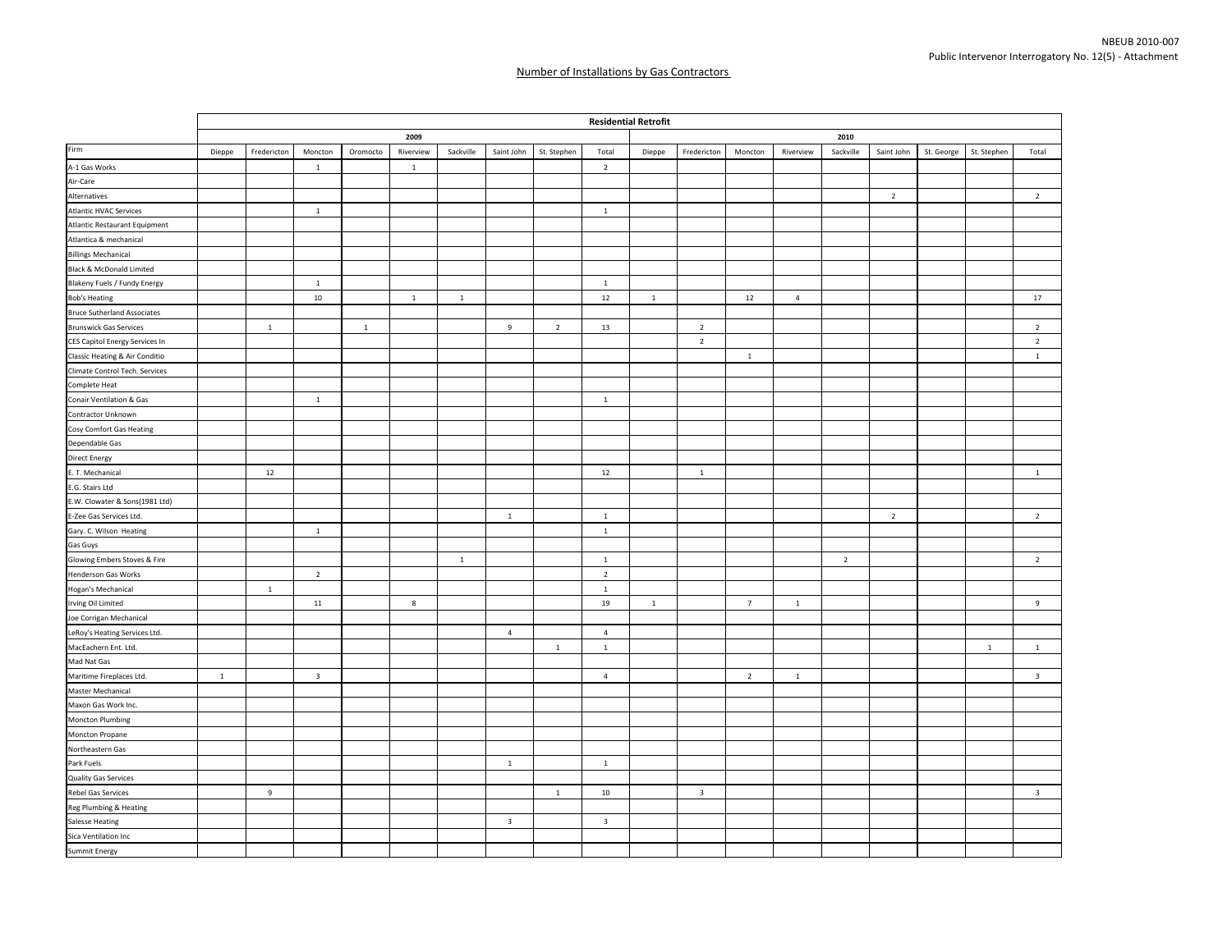|                                    |        |              |                         |              |              |              |                |                |                         | <b>Residential Retrofit</b> |                         |                |                |                |                |            |              |                         |  |  |  |
|------------------------------------|--------|--------------|-------------------------|--------------|--------------|--------------|----------------|----------------|-------------------------|-----------------------------|-------------------------|----------------|----------------|----------------|----------------|------------|--------------|-------------------------|--|--|--|
|                                    |        |              |                         |              | 2009         |              |                |                |                         |                             | 2010                    |                |                |                |                |            |              |                         |  |  |  |
| Firm                               | Dieppe | Fredericton  | Moncton                 | Oromocto     | Riverview    | Sackville    | Saint John     | St. Stephen    | Total                   | Dieppe                      | Fredericton             | Moncton        | Riverview      | Sackville      | Saint John     | St. George | St. Stephen  | Total                   |  |  |  |
| A-1 Gas Works                      |        |              | $\mathbf{1}$            |              | $\mathbf{1}$ |              |                |                | $\overline{2}$          |                             |                         |                |                |                |                |            |              |                         |  |  |  |
| Air-Care                           |        |              |                         |              |              |              |                |                |                         |                             |                         |                |                |                |                |            |              |                         |  |  |  |
| Alternatives                       |        |              |                         |              |              |              |                |                |                         |                             |                         |                |                |                | $\overline{2}$ |            |              | $\overline{2}$          |  |  |  |
| <b>Atlantic HVAC Services</b>      |        |              | $\mathbf{1}$            |              |              |              |                |                | $\overline{1}$          |                             |                         |                |                |                |                |            |              |                         |  |  |  |
| Atlantic Restaurant Equipment      |        |              |                         |              |              |              |                |                |                         |                             |                         |                |                |                |                |            |              |                         |  |  |  |
| Atlantica & mechanical             |        |              |                         |              |              |              |                |                |                         |                             |                         |                |                |                |                |            |              |                         |  |  |  |
| <b>Billings Mechanical</b>         |        |              |                         |              |              |              |                |                |                         |                             |                         |                |                |                |                |            |              |                         |  |  |  |
| Black & McDonald Limited           |        |              |                         |              |              |              |                |                |                         |                             |                         |                |                |                |                |            |              |                         |  |  |  |
| Blakeny Fuels / Fundy Energy       |        |              | <sup>1</sup>            |              |              |              |                |                | $\overline{1}$          |                             |                         |                |                |                |                |            |              |                         |  |  |  |
| <b>Bob's Heating</b>               |        |              | $10\,$                  |              | $\mathbf{1}$ | $\mathbf{1}$ |                |                | $12\,$                  | $\mathbf{1}$                |                         | 12             | $\overline{4}$ |                |                |            |              | 17                      |  |  |  |
| <b>Bruce Sutherland Associates</b> |        |              |                         |              |              |              |                |                |                         |                             |                         |                |                |                |                |            |              |                         |  |  |  |
| <b>Brunswick Gas Services</b>      |        | $\mathbf{1}$ |                         | $\mathbf{1}$ |              |              | $\overline{9}$ | $\overline{2}$ | 13                      |                             | $\overline{2}$          |                |                |                |                |            |              | $\overline{2}$          |  |  |  |
| CES Capitol Energy Services In     |        |              |                         |              |              |              |                |                |                         |                             | $\overline{2}$          |                |                |                |                |            |              | $\overline{2}$          |  |  |  |
| Classic Heating & Air Conditio     |        |              |                         |              |              |              |                |                |                         |                             |                         | $\,$ 1 $\,$    |                |                |                |            |              | $\mathbf 1$             |  |  |  |
| Climate Control Tech. Services     |        |              |                         |              |              |              |                |                |                         |                             |                         |                |                |                |                |            |              |                         |  |  |  |
| Complete Heat                      |        |              |                         |              |              |              |                |                |                         |                             |                         |                |                |                |                |            |              |                         |  |  |  |
| Conair Ventilation & Gas           |        |              | $\mathbf{1}$            |              |              |              |                |                | $\mathbf{1}$            |                             |                         |                |                |                |                |            |              |                         |  |  |  |
| Contractor Unknown                 |        |              |                         |              |              |              |                |                |                         |                             |                         |                |                |                |                |            |              |                         |  |  |  |
| Cosy Comfort Gas Heating           |        |              |                         |              |              |              |                |                |                         |                             |                         |                |                |                |                |            |              |                         |  |  |  |
| Dependable Gas                     |        |              |                         |              |              |              |                |                |                         |                             |                         |                |                |                |                |            |              |                         |  |  |  |
| <b>Direct Energy</b>               |        |              |                         |              |              |              |                |                |                         |                             |                         |                |                |                |                |            |              |                         |  |  |  |
| E. T. Mechanical                   |        | 12           |                         |              |              |              |                |                | 12                      |                             | $\mathbf 1$             |                |                |                |                |            |              | $\mathbf{1}$            |  |  |  |
| E.G. Stairs Ltd                    |        |              |                         |              |              |              |                |                |                         |                             |                         |                |                |                |                |            |              |                         |  |  |  |
| E.W. Clowater & Sons(1981 Ltd)     |        |              |                         |              |              |              |                |                |                         |                             |                         |                |                |                |                |            |              |                         |  |  |  |
| E-Zee Gas Services Ltd.            |        |              |                         |              |              |              | $\mathbf{1}$   |                | $\overline{1}$          |                             |                         |                |                |                | $\overline{2}$ |            |              | $\overline{2}$          |  |  |  |
| Gary. C. Wilson Heating            |        |              | $\mathbf{1}$            |              |              |              |                |                | $\mathbf{1}$            |                             |                         |                |                |                |                |            |              |                         |  |  |  |
| Gas Guys                           |        |              |                         |              |              |              |                |                |                         |                             |                         |                |                |                |                |            |              |                         |  |  |  |
| Glowing Embers Stoves & Fire       |        |              |                         |              |              | $\,$ 1 $\,$  |                |                | $\mathbf{1}$            |                             |                         |                |                | $\overline{2}$ |                |            |              | $\overline{2}$          |  |  |  |
| Henderson Gas Works                |        |              | $\overline{2}$          |              |              |              |                |                | $\overline{2}$          |                             |                         |                |                |                |                |            |              |                         |  |  |  |
| Hogan's Mechanical                 |        | $1\,$        |                         |              |              |              |                |                | $\mathbf{1}$            |                             |                         |                |                |                |                |            |              |                         |  |  |  |
| Irving Oil Limited                 |        |              | $11\,$                  |              | 8            |              |                |                | 19                      | $1\,$                       |                         | $\overline{7}$ | $\mathbf{1}$   |                |                |            |              | 9                       |  |  |  |
| Joe Corrigan Mechanical            |        |              |                         |              |              |              |                |                |                         |                             |                         |                |                |                |                |            |              |                         |  |  |  |
| LeRoy's Heating Services Ltd.      |        |              |                         |              |              |              | $\overline{4}$ |                | $\overline{4}$          |                             |                         |                |                |                |                |            |              |                         |  |  |  |
| MacEachern Ent. Ltd.               |        |              |                         |              |              |              |                | $\mathbf{1}$   | $\mathbf{1}$            |                             |                         |                |                |                |                |            | $\mathbf{1}$ | $\mathbf{1}$            |  |  |  |
| Mad Nat Gas                        |        |              |                         |              |              |              |                |                |                         |                             |                         |                |                |                |                |            |              |                         |  |  |  |
| Maritime Fireplaces Ltd.           | $1\,$  |              | $\overline{\mathbf{3}}$ |              |              |              |                |                | $\overline{4}$          |                             |                         | $\overline{2}$ | $1\,$          |                |                |            |              | $\overline{\mathbf{3}}$ |  |  |  |
| Master Mechanical                  |        |              |                         |              |              |              |                |                |                         |                             |                         |                |                |                |                |            |              |                         |  |  |  |
| Maxon Gas Work Inc.                |        |              |                         |              |              |              |                |                |                         |                             |                         |                |                |                |                |            |              |                         |  |  |  |
| Moncton Plumbing                   |        |              |                         |              |              |              |                |                |                         |                             |                         |                |                |                |                |            |              |                         |  |  |  |
| Moncton Propane                    |        |              |                         |              |              |              |                |                |                         |                             |                         |                |                |                |                |            |              |                         |  |  |  |
| Northeastern Gas                   |        |              |                         |              |              |              |                |                |                         |                             |                         |                |                |                |                |            |              |                         |  |  |  |
| Park Fuels                         |        |              |                         |              |              |              | $\mathbf{1}$   |                | $\mathbf{1}$            |                             |                         |                |                |                |                |            |              |                         |  |  |  |
| Quality Gas Services               |        |              |                         |              |              |              |                |                |                         |                             |                         |                |                |                |                |            |              |                         |  |  |  |
| Rebel Gas Services                 |        | 9            |                         |              |              |              |                | $\mathbf{1}$   | 10                      |                             | $\overline{\mathbf{3}}$ |                |                |                |                |            |              | $\overline{\mathbf{3}}$ |  |  |  |
| Reg Plumbing & Heating             |        |              |                         |              |              |              |                |                |                         |                             |                         |                |                |                |                |            |              |                         |  |  |  |
| <b>Salesse Heating</b>             |        |              |                         |              |              |              | 3              |                | $\overline{\mathbf{3}}$ |                             |                         |                |                |                |                |            |              |                         |  |  |  |
| Sica Ventilation Inc               |        |              |                         |              |              |              |                |                |                         |                             |                         |                |                |                |                |            |              |                         |  |  |  |
| Summit Energy                      |        |              |                         |              |              |              |                |                |                         |                             |                         |                |                |                |                |            |              |                         |  |  |  |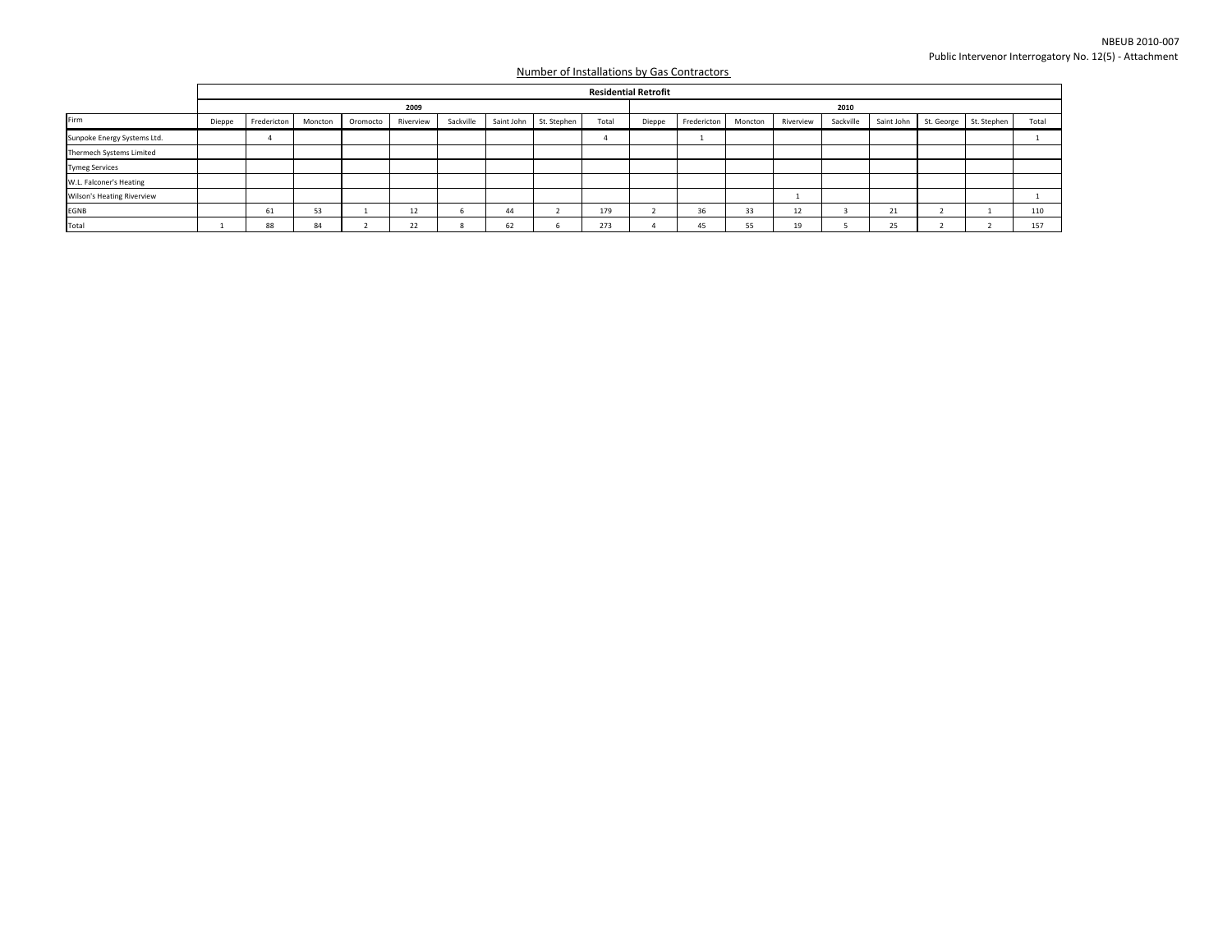|                             |        |             |         |          |           |           |            |             |       | <b>Residential Retrofit</b> |             |         |           |           |            |  |                        |       |  |  |  |
|-----------------------------|--------|-------------|---------|----------|-----------|-----------|------------|-------------|-------|-----------------------------|-------------|---------|-----------|-----------|------------|--|------------------------|-------|--|--|--|
|                             |        | 2009        |         |          |           |           |            |             |       |                             |             | 2010    |           |           |            |  |                        |       |  |  |  |
| Firm                        | Dieppe | Fredericton | Moncton | Oromocto | Riverview | Sackville | Saint John | St. Stephen | Total | Dieppe                      | Fredericton | Moncton | Riverview | Sackville | Saint John |  | St. George St. Stephen | Total |  |  |  |
| Sunpoke Energy Systems Ltd. |        |             |         |          |           |           |            |             |       |                             |             |         |           |           |            |  |                        |       |  |  |  |
| Thermech Systems Limited    |        |             |         |          |           |           |            |             |       |                             |             |         |           |           |            |  |                        |       |  |  |  |
| <b>Tymeg Services</b>       |        |             |         |          |           |           |            |             |       |                             |             |         |           |           |            |  |                        |       |  |  |  |
| W.L. Falconer's Heating     |        |             |         |          |           |           |            |             |       |                             |             |         |           |           |            |  |                        |       |  |  |  |
| Wilson's Heating Riverview  |        |             |         |          |           |           |            |             |       |                             |             |         |           |           |            |  |                        |       |  |  |  |
| EGNB                        |        | 61          | 53      |          | 12        |           | 44         |             | 179   |                             | 36          | 33      | 12        |           | 21         |  |                        | 110   |  |  |  |
| Total                       |        | 88          | 84      |          | 22        |           | 62         |             | 273   |                             | -45         | 55      | 19        |           | 25         |  |                        | 157   |  |  |  |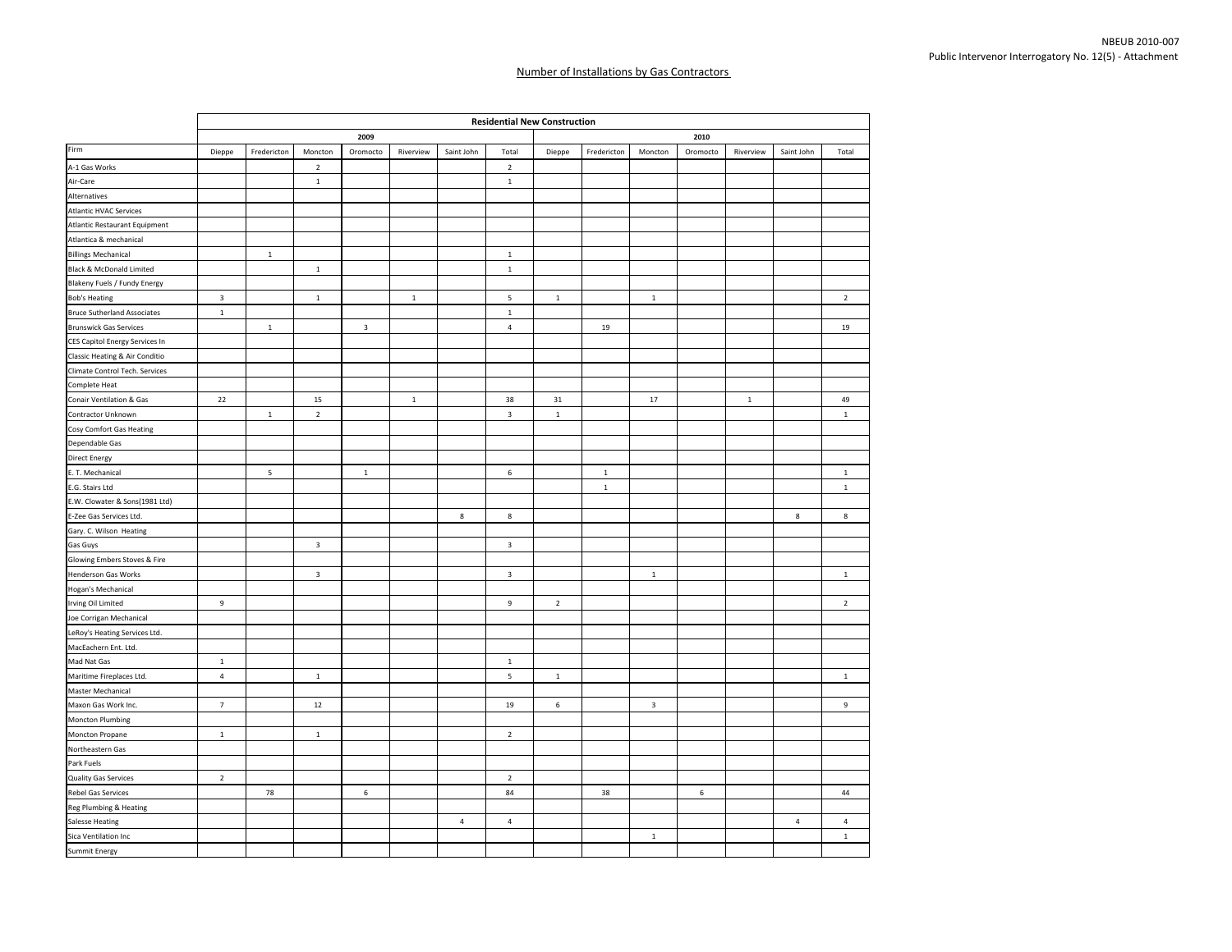|                                    |                         |             |                         |                         |              |                | <b>Residential New Construction</b> |             |             |                         |          |             |                |                |  |  |  |
|------------------------------------|-------------------------|-------------|-------------------------|-------------------------|--------------|----------------|-------------------------------------|-------------|-------------|-------------------------|----------|-------------|----------------|----------------|--|--|--|
|                                    |                         |             |                         | 2009                    |              |                |                                     | 2010        |             |                         |          |             |                |                |  |  |  |
| Firm                               | Dieppe                  | Fredericton | Moncton                 | Oromocto                | Riverview    | Saint John     | Total                               | Dieppe      | Fredericton | Moncton                 | Oromocto | Riverview   | Saint John     | Total          |  |  |  |
| A-1 Gas Works                      |                         |             | $\overline{2}$          |                         |              |                | $\overline{2}$                      |             |             |                         |          |             |                |                |  |  |  |
| Air-Care                           |                         |             | $\mathbf 1$             |                         |              |                | $\,$ 1 $\,$                         |             |             |                         |          |             |                |                |  |  |  |
| Alternatives                       |                         |             |                         |                         |              |                |                                     |             |             |                         |          |             |                |                |  |  |  |
| <b>Atlantic HVAC Services</b>      |                         |             |                         |                         |              |                |                                     |             |             |                         |          |             |                |                |  |  |  |
| Atlantic Restaurant Equipment      |                         |             |                         |                         |              |                |                                     |             |             |                         |          |             |                |                |  |  |  |
| Atlantica & mechanical             |                         |             |                         |                         |              |                |                                     |             |             |                         |          |             |                |                |  |  |  |
| <b>Billings Mechanical</b>         |                         | $\mathbf 1$ |                         |                         |              |                | 1                                   |             |             |                         |          |             |                |                |  |  |  |
| Black & McDonald Limited           |                         |             | $\,$ 1 $\,$             |                         |              |                | $\,$ 1 $\,$                         |             |             |                         |          |             |                |                |  |  |  |
| Blakeny Fuels / Fundy Energy       |                         |             |                         |                         |              |                |                                     |             |             |                         |          |             |                |                |  |  |  |
| <b>Bob's Heating</b>               | $\overline{\mathbf{3}}$ |             | $\mathbf{1}$            |                         | $\mathbf{1}$ |                | 5                                   | $1\,$       |             | $\,$ 1 $\,$             |          |             |                | $\overline{2}$ |  |  |  |
| <b>Bruce Sutherland Associates</b> | $\overline{1}$          |             |                         |                         |              |                | $\mathbf 1$                         |             |             |                         |          |             |                |                |  |  |  |
| <b>Brunswick Gas Services</b>      |                         | $\mathbf 1$ |                         | $\overline{\mathbf{3}}$ |              |                | $\overline{4}$                      |             | $19\,$      |                         |          |             |                | 19             |  |  |  |
| CES Capitol Energy Services In     |                         |             |                         |                         |              |                |                                     |             |             |                         |          |             |                |                |  |  |  |
| Classic Heating & Air Conditio     |                         |             |                         |                         |              |                |                                     |             |             |                         |          |             |                |                |  |  |  |
| Climate Control Tech. Services     |                         |             |                         |                         |              |                |                                     |             |             |                         |          |             |                |                |  |  |  |
| Complete Heat                      |                         |             |                         |                         |              |                |                                     |             |             |                         |          |             |                |                |  |  |  |
| Conair Ventilation & Gas           | 22                      |             | $15\,$                  |                         | $1\,$        |                | 38                                  | 31          |             | 17                      |          | $\mathbf 1$ |                | 49             |  |  |  |
| Contractor Unknown                 |                         | $\,$ 1 $\,$ | $\mathbf 2$             |                         |              |                | $\overline{\mathbf{3}}$             | $\mathbf 1$ |             |                         |          |             |                | $\mathbf 1$    |  |  |  |
| Cosy Comfort Gas Heating           |                         |             |                         |                         |              |                |                                     |             |             |                         |          |             |                |                |  |  |  |
| Dependable Gas                     |                         |             |                         |                         |              |                |                                     |             |             |                         |          |             |                |                |  |  |  |
| Direct Energy                      |                         |             |                         |                         |              |                |                                     |             |             |                         |          |             |                |                |  |  |  |
| E. T. Mechanical                   |                         | 5           |                         | $\mathbf{1}$            |              |                | 6                                   |             | $\,$ 1 $\,$ |                         |          |             |                | $\mathbf 1$    |  |  |  |
| E.G. Stairs Ltd                    |                         |             |                         |                         |              |                |                                     |             | $\,$ 1 $\,$ |                         |          |             |                | $\mathbf 1$    |  |  |  |
| E.W. Clowater & Sons(1981 Ltd)     |                         |             |                         |                         |              |                |                                     |             |             |                         |          |             |                |                |  |  |  |
| E-Zee Gas Services Ltd.            |                         |             |                         |                         |              | 8              | 8                                   |             |             |                         |          |             | 8              | 8              |  |  |  |
| Gary. C. Wilson Heating            |                         |             |                         |                         |              |                |                                     |             |             |                         |          |             |                |                |  |  |  |
| Gas Guys                           |                         |             | $\overline{\mathbf{3}}$ |                         |              |                | $\overline{3}$                      |             |             |                         |          |             |                |                |  |  |  |
| Glowing Embers Stoves & Fire       |                         |             |                         |                         |              |                |                                     |             |             |                         |          |             |                |                |  |  |  |
| Henderson Gas Works                |                         |             | $\overline{\mathbf{3}}$ |                         |              |                | $\overline{\mathbf{3}}$             |             |             | $\,$ 1                  |          |             |                | $\mathbf 1$    |  |  |  |
| Hogan's Mechanical                 |                         |             |                         |                         |              |                |                                     |             |             |                         |          |             |                |                |  |  |  |
| Irving Oil Limited                 | $\boldsymbol{9}$        |             |                         |                         |              |                | 9                                   | $\mathbf 2$ |             |                         |          |             |                | $\overline{2}$ |  |  |  |
| Joe Corrigan Mechanical            |                         |             |                         |                         |              |                |                                     |             |             |                         |          |             |                |                |  |  |  |
| LeRoy's Heating Services Ltd.      |                         |             |                         |                         |              |                |                                     |             |             |                         |          |             |                |                |  |  |  |
| MacEachern Ent. Ltd.               |                         |             |                         |                         |              |                |                                     |             |             |                         |          |             |                |                |  |  |  |
| Mad Nat Gas                        | $\,$ 1                  |             |                         |                         |              |                | $\mathbf{1}$                        |             |             |                         |          |             |                |                |  |  |  |
| Maritime Fireplaces Ltd.           | $\sqrt{4}$              |             | $\mathbf{1}$            |                         |              |                | $\overline{5}$                      | $\,$ 1 $\,$ |             |                         |          |             |                | $\mathbf 1$    |  |  |  |
| Master Mechanical                  |                         |             |                         |                         |              |                |                                     |             |             |                         |          |             |                |                |  |  |  |
| Maxon Gas Work Inc.                | $\overline{7}$          |             | 12                      |                         |              |                | 19                                  | 6           |             | $\overline{\mathbf{3}}$ |          |             |                | 9              |  |  |  |
| Moncton Plumbing                   |                         |             |                         |                         |              |                |                                     |             |             |                         |          |             |                |                |  |  |  |
| Moncton Propane                    | $\,$ 1 $\,$             |             | $\,$ 1                  |                         |              |                | $\overline{2}$                      |             |             |                         |          |             |                |                |  |  |  |
| Northeastern Gas                   |                         |             |                         |                         |              |                |                                     |             |             |                         |          |             |                |                |  |  |  |
| Park Fuels                         |                         |             |                         |                         |              |                |                                     |             |             |                         |          |             |                |                |  |  |  |
| Quality Gas Services               | $\overline{2}$          |             |                         |                         |              |                | $\overline{2}$                      |             |             |                         |          |             |                |                |  |  |  |
| Rebel Gas Services                 |                         | 78          |                         | $\,$ 6 $\,$             |              |                | 84                                  |             | 38          |                         | 6        |             |                | 44             |  |  |  |
| Reg Plumbing & Heating             |                         |             |                         |                         |              |                |                                     |             |             |                         |          |             |                |                |  |  |  |
| <b>Salesse Heating</b>             |                         |             |                         |                         |              | $\overline{4}$ | $\overline{4}$                      |             |             |                         |          |             | $\overline{4}$ | $\overline{4}$ |  |  |  |
| Sica Ventilation Inc               |                         |             |                         |                         |              |                |                                     |             |             | $\mathbf{1}$            |          |             |                | $\mathbf{1}$   |  |  |  |
| <b>Summit Energy</b>               |                         |             |                         |                         |              |                |                                     |             |             |                         |          |             |                |                |  |  |  |
|                                    |                         |             |                         |                         |              |                |                                     |             |             |                         |          |             |                |                |  |  |  |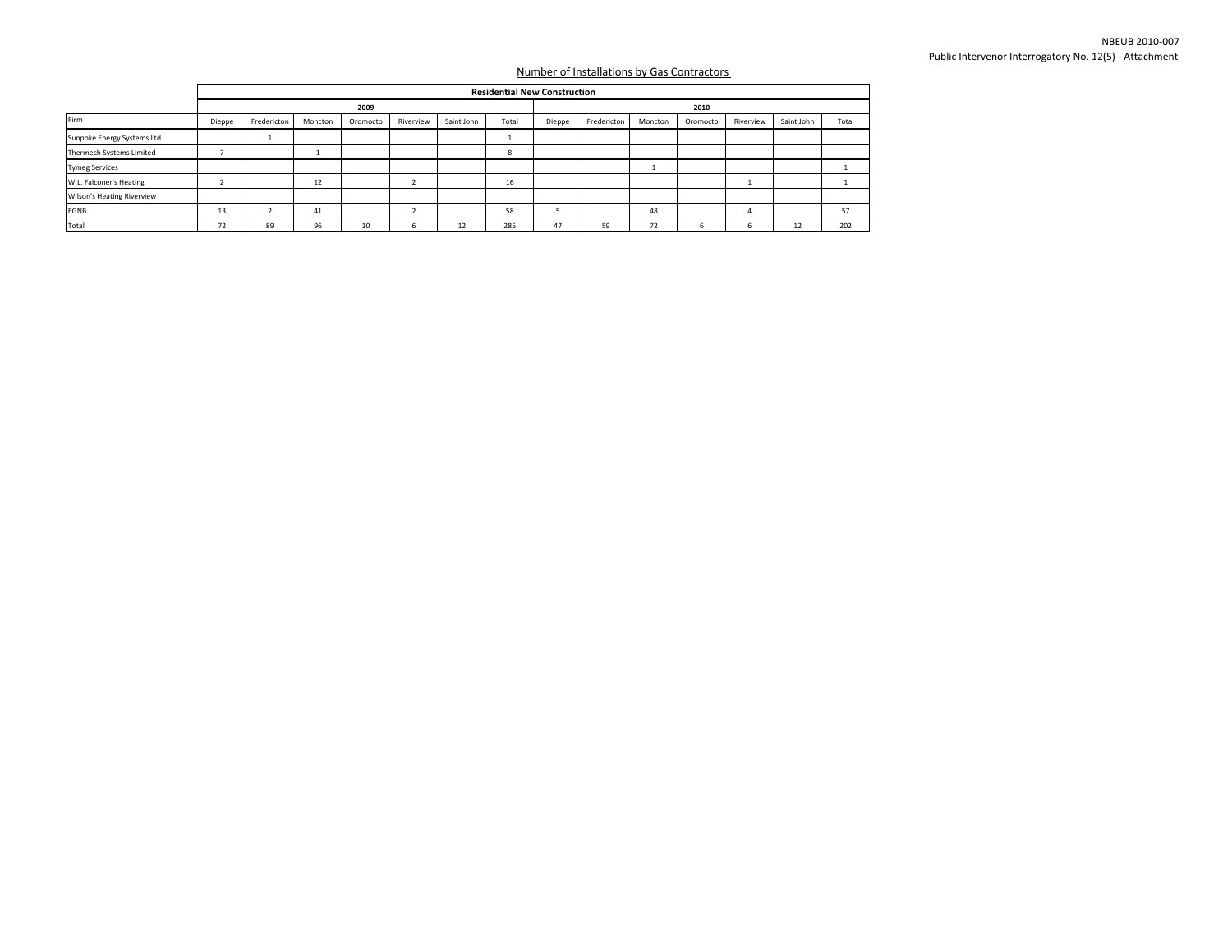|                             |        |             |         |          |           |            | <b>Residential New Construction</b> |        |             |         |          |           |            |       |  |
|-----------------------------|--------|-------------|---------|----------|-----------|------------|-------------------------------------|--------|-------------|---------|----------|-----------|------------|-------|--|
|                             |        |             |         | 2009     |           |            | 2010                                |        |             |         |          |           |            |       |  |
| Firm                        | Dieppe | Fredericton | Moncton | Oromocto | Riverview | Saint John | Total                               | Dieppe | Fredericton | Moncton | Oromocto | Riverview | Saint John | Total |  |
| Sunpoke Energy Systems Ltd. |        |             |         |          |           |            |                                     |        |             |         |          |           |            |       |  |
| Thermech Systems Limited    |        |             |         |          |           |            | 8                                   |        |             |         |          |           |            |       |  |
| <b>Tymeg Services</b>       |        |             |         |          |           |            |                                     |        |             | л.      |          |           |            |       |  |
| W.L. Falconer's Heating     |        |             | 12      |          |           |            | 16                                  |        |             |         |          |           |            |       |  |
| Wilson's Heating Riverview  |        |             |         |          |           |            |                                     |        |             |         |          |           |            |       |  |
| EGNB                        | 13     |             | 41      |          |           |            | 58                                  |        |             | 48      |          |           |            | 57    |  |
| Total                       | 72     | 89          | 96      | 10       | n         | 12         | 285                                 | 47     | 59          | 72      |          |           | 12         | 202   |  |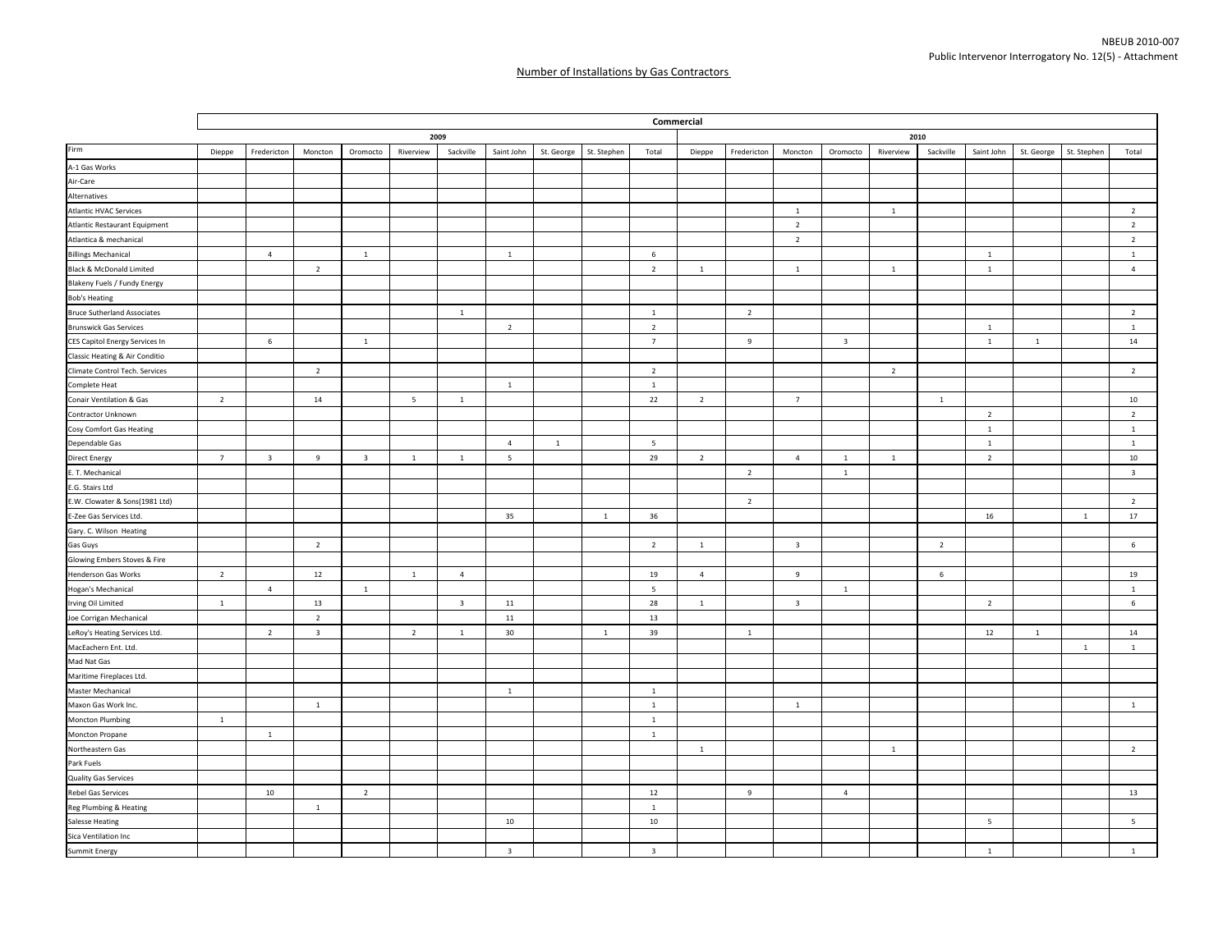|                                    |                 |                         |                         |                         |                |                         |                          |              | Commercial   |                         |                |                |                         |                         |                |                |                |              |              |                         |  |  |  |
|------------------------------------|-----------------|-------------------------|-------------------------|-------------------------|----------------|-------------------------|--------------------------|--------------|--------------|-------------------------|----------------|----------------|-------------------------|-------------------------|----------------|----------------|----------------|--------------|--------------|-------------------------|--|--|--|
|                                    | 2009            |                         |                         |                         |                |                         |                          |              |              |                         |                |                | 2010                    |                         |                |                |                |              |              |                         |  |  |  |
| Firm                               | Dieppe          | Fredericton             | Moncton                 | Oromocto                | Riverview      | Sackville               | Saint John               | St. George   | St. Stephen  | Total                   | Dieppe         | Fredericton    | Moncton                 | Oromocto                | Riverview      | Sackville      | Saint John     | St. George   | St. Stephen  | Total                   |  |  |  |
| A-1 Gas Works                      |                 |                         |                         |                         |                |                         |                          |              |              |                         |                |                |                         |                         |                |                |                |              |              |                         |  |  |  |
| Air-Care                           |                 |                         |                         |                         |                |                         |                          |              |              |                         |                |                |                         |                         |                |                |                |              |              |                         |  |  |  |
| Alternatives                       |                 |                         |                         |                         |                |                         |                          |              |              |                         |                |                |                         |                         |                |                |                |              |              |                         |  |  |  |
| <b>Atlantic HVAC Services</b>      |                 |                         |                         |                         |                |                         |                          |              |              |                         |                |                | $\,$ 1 $\,$             |                         | $\,$ 1         |                |                |              |              | $\overline{2}$          |  |  |  |
| Atlantic Restaurant Equipment      |                 |                         |                         |                         |                |                         |                          |              |              |                         |                |                | $\overline{2}$          |                         |                |                |                |              |              | $\overline{2}$          |  |  |  |
| Atlantica & mechanical             |                 |                         |                         |                         |                |                         |                          |              |              |                         |                |                | $\overline{2}$          |                         |                |                |                |              |              | $\overline{2}$          |  |  |  |
| <b>Billings Mechanical</b>         |                 | $\overline{4}$          |                         | $\mathbf{1}$            |                |                         | <sup>1</sup>             |              |              | 6                       |                |                |                         |                         |                |                | $\mathbf{1}$   |              |              | $\mathbf{1}$            |  |  |  |
| Black & McDonald Limited           |                 |                         | $\overline{2}$          |                         |                |                         |                          |              |              | $\overline{2}$          | $\mathbf{1}$   |                | 1                       |                         | $\mathbf{1}$   |                | $\mathbf{1}$   |              |              | $\overline{4}$          |  |  |  |
| Blakeny Fuels / Fundy Energy       |                 |                         |                         |                         |                |                         |                          |              |              |                         |                |                |                         |                         |                |                |                |              |              |                         |  |  |  |
| <b>Bob's Heating</b>               |                 |                         |                         |                         |                |                         |                          |              |              |                         |                |                |                         |                         |                |                |                |              |              |                         |  |  |  |
| <b>Bruce Sutherland Associates</b> |                 |                         |                         |                         |                | 1                       |                          |              |              | <sup>1</sup>            |                | $\overline{2}$ |                         |                         |                |                |                |              |              | $\overline{2}$          |  |  |  |
| <b>Brunswick Gas Services</b>      |                 |                         |                         |                         |                |                         | $\overline{2}$           |              |              | $\overline{2}$          |                |                |                         |                         |                |                | <sup>1</sup>   |              |              | $\mathbf{1}$            |  |  |  |
| CES Capitol Energy Services In     |                 | 6                       |                         | $\mathbf{1}$            |                |                         |                          |              |              | $\overline{7}$          |                | 9              |                         | $\overline{\mathbf{3}}$ |                |                | $\mathbf{1}$   | $\mathbf{1}$ |              | 14                      |  |  |  |
| Classic Heating & Air Conditio     |                 |                         |                         |                         |                |                         |                          |              |              |                         |                |                |                         |                         |                |                |                |              |              |                         |  |  |  |
| Climate Control Tech. Services     |                 |                         | $\overline{2}$          |                         |                |                         |                          |              |              | $\overline{2}$          |                |                |                         |                         | $\overline{2}$ |                |                |              |              | $\overline{2}$          |  |  |  |
| Complete Heat                      |                 |                         |                         |                         |                |                         | $\,$ 1                   |              |              | $\mathbf{1}$            |                |                |                         |                         |                |                |                |              |              |                         |  |  |  |
| Conair Ventilation & Gas           | $\overline{2}$  |                         | 14                      |                         | 5              | $\overline{1}$          |                          |              |              | 22                      | $\overline{2}$ |                | $\overline{7}$          |                         |                | $\mathbf{1}$   |                |              |              | $10\,$                  |  |  |  |
| Contractor Unknown                 |                 |                         |                         |                         |                |                         |                          |              |              |                         |                |                |                         |                         |                |                | $\overline{2}$ |              |              | $\overline{2}$          |  |  |  |
| Cosy Comfort Gas Heating           |                 |                         |                         |                         |                |                         |                          |              |              |                         |                |                |                         |                         |                |                | $\overline{1}$ |              |              | $\mathbf{1}$            |  |  |  |
| Dependable Gas                     |                 |                         |                         |                         |                |                         | $\overline{4}$           | $\mathbf{1}$ |              | 5                       |                |                |                         |                         |                |                | $\overline{1}$ |              |              | $\mathbf{1}$            |  |  |  |
| <b>Direct Energy</b>               | $7\overline{ }$ | $\overline{\mathbf{3}}$ | $9\,$                   | $\overline{\mathbf{3}}$ | $\overline{1}$ | $\,$ 1 $\,$             | $\overline{\phantom{a}}$ |              |              | 29                      | $\overline{2}$ |                | 4                       | $\mathbf{1}$            | $\mathbf{1}$   |                | $\overline{2}$ |              |              | $10\,$                  |  |  |  |
| E. T. Mechanical                   |                 |                         |                         |                         |                |                         |                          |              |              |                         |                | $\overline{2}$ |                         | 1                       |                |                |                |              |              | $\overline{\mathbf{3}}$ |  |  |  |
| E.G. Stairs Ltd                    |                 |                         |                         |                         |                |                         |                          |              |              |                         |                |                |                         |                         |                |                |                |              |              |                         |  |  |  |
| E.W. Clowater & Sons(1981 Ltd)     |                 |                         |                         |                         |                |                         |                          |              |              |                         |                | $\overline{2}$ |                         |                         |                |                |                |              |              | $\overline{2}$          |  |  |  |
| E-Zee Gas Services Ltd.            |                 |                         |                         |                         |                |                         | 35                       |              | $\mathbf{1}$ | 36                      |                |                |                         |                         |                |                | 16             |              | $\mathbf{1}$ | 17                      |  |  |  |
| Gary. C. Wilson Heating            |                 |                         |                         |                         |                |                         |                          |              |              |                         |                |                |                         |                         |                |                |                |              |              |                         |  |  |  |
| Gas Guys                           |                 |                         | $\overline{2}$          |                         |                |                         |                          |              |              | $\overline{2}$          | $\mathbf{1}$   |                | $\overline{\mathbf{3}}$ |                         |                | $\overline{2}$ |                |              |              | 6                       |  |  |  |
| Glowing Embers Stoves & Fire       |                 |                         |                         |                         |                |                         |                          |              |              |                         |                |                |                         |                         |                |                |                |              |              |                         |  |  |  |
| Henderson Gas Works                | $\overline{2}$  |                         | 12                      |                         | 1              | $\overline{4}$          |                          |              |              | 19                      | $\overline{4}$ |                | $\overline{9}$          |                         |                | 6              |                |              |              | 19                      |  |  |  |
| Hogan's Mechanical                 |                 | $\overline{4}$          |                         | $\mathbf{1}$            |                |                         |                          |              |              | 5                       |                |                |                         | $\mathbf{1}$            |                |                |                |              |              | $\mathbf{1}$            |  |  |  |
| Irving Oil Limited                 | $\mathbf{1}$    |                         | 13                      |                         |                | $\overline{\mathbf{3}}$ | 11                       |              |              | 28                      | $\mathbf{1}$   |                | $\overline{\mathbf{3}}$ |                         |                |                | $\overline{2}$ |              |              | 6                       |  |  |  |
| Joe Corrigan Mechanical            |                 |                         | $\overline{2}$          |                         |                |                         | 11                       |              |              | 13                      |                |                |                         |                         |                |                |                |              |              |                         |  |  |  |
| LeRoy's Heating Services Ltd.      |                 | $\overline{2}$          | $\overline{\mathbf{3}}$ |                         | $\overline{2}$ | $\overline{1}$          | 30                       |              | $\mathbf{1}$ | 39                      |                | $\mathbf{1}$   |                         |                         |                |                | 12             | $1\,$        |              | 14                      |  |  |  |
| MacEachern Ent. Ltd.               |                 |                         |                         |                         |                |                         |                          |              |              |                         |                |                |                         |                         |                |                |                |              | $\mathbf{1}$ | $\mathbf{1}$            |  |  |  |
| Mad Nat Gas                        |                 |                         |                         |                         |                |                         |                          |              |              |                         |                |                |                         |                         |                |                |                |              |              |                         |  |  |  |
| Maritime Fireplaces Ltd.           |                 |                         |                         |                         |                |                         |                          |              |              |                         |                |                |                         |                         |                |                |                |              |              |                         |  |  |  |
| Master Mechanical                  |                 |                         |                         |                         |                |                         | $\mathbf{1}$             |              |              | $\mathbf{1}$            |                |                |                         |                         |                |                |                |              |              |                         |  |  |  |
| Maxon Gas Work Inc.                |                 |                         | $\,$ 1 $\,$             |                         |                |                         |                          |              |              | $\mathbf{1}$            |                |                | $\mathbf{1}$            |                         |                |                |                |              |              | $\mathbf{1}$            |  |  |  |
| Moncton Plumbing                   | $\mathbf 1$     |                         |                         |                         |                |                         |                          |              |              | $\mathbf{1}$            |                |                |                         |                         |                |                |                |              |              |                         |  |  |  |
| Moncton Propane                    |                 | $1\,$                   |                         |                         |                |                         |                          |              |              | $\overline{1}$          |                |                |                         |                         |                |                |                |              |              |                         |  |  |  |
| Northeastern Gas                   |                 |                         |                         |                         |                |                         |                          |              |              |                         | 1              |                |                         |                         | $\overline{1}$ |                |                |              |              | $\overline{2}$          |  |  |  |
| Park Fuels                         |                 |                         |                         |                         |                |                         |                          |              |              |                         |                |                |                         |                         |                |                |                |              |              |                         |  |  |  |
| Quality Gas Services               |                 |                         |                         |                         |                |                         |                          |              |              |                         |                |                |                         |                         |                |                |                |              |              |                         |  |  |  |
| Rebel Gas Services                 |                 | 10                      |                         | $\overline{2}$          |                |                         |                          |              |              | 12                      |                | 9              |                         | $\overline{4}$          |                |                |                |              |              | 13                      |  |  |  |
| Reg Plumbing & Heating             |                 |                         | $\mathbf{1}$            |                         |                |                         |                          |              |              | $\mathbf{1}$            |                |                |                         |                         |                |                |                |              |              |                         |  |  |  |
| <b>Salesse Heating</b>             |                 |                         |                         |                         |                |                         | 10                       |              |              | 10                      |                |                |                         |                         |                |                | 5              |              |              | 5                       |  |  |  |
| Sica Ventilation Inc               |                 |                         |                         |                         |                |                         |                          |              |              |                         |                |                |                         |                         |                |                |                |              |              |                         |  |  |  |
| Summit Energy                      |                 |                         |                         |                         |                |                         | $\overline{\mathbf{3}}$  |              |              | $\overline{\mathbf{3}}$ |                |                |                         |                         |                |                | $\mathbf{1}$   |              |              | $\mathbf{1}$            |  |  |  |